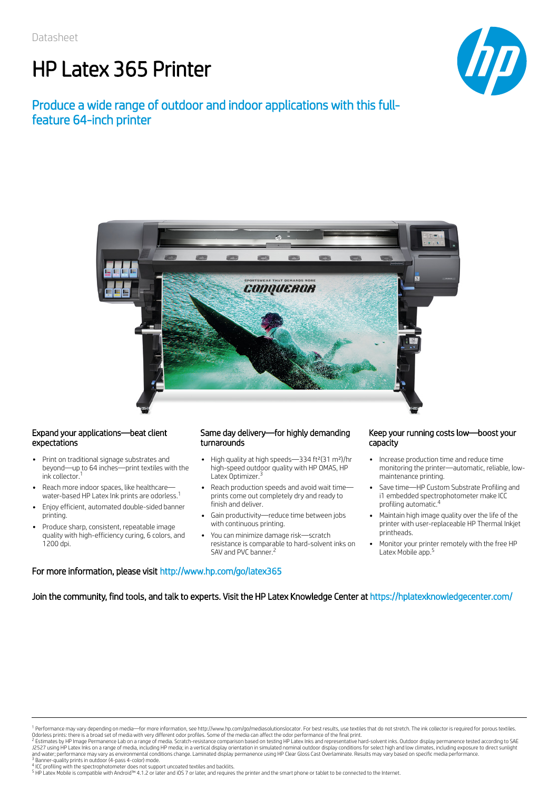# HP Latex 365 Printer



# Produce a wide range of outdoor and indoor applications with this fullfeature 64-inch printer



### Expand your applications—beat client expectations

- Print on traditional signage substrates and beyond—up to 64 inches—print textiles with the ink collector. 1
- Reach more indoor spaces, like healthcare water-based HP Latex Ink prints are odorless. 1
- Enjoy efficient, automated double-sided banner printing.
- Produce sharp, consistent, repeatable image quality with high-efficiency curing, 6 colors, and 1200 dpi.

### Same day delivery—for highly demanding turnarounds

- High quality at high speeds-334 ft<sup>2</sup>(31 m<sup>2</sup>)/hr high-speed outdoor quality with HP OMAS, HP Latex Optimizer.<sup>3</sup>
- Reach production speeds and avoid wait time prints come out completely dry and ready to finish and deliver.
- Gain productivity—reduce time between jobs with continuous printing.
- You can minimize damage risk—scratch resistance is comparable to hard-solvent inks on SAV and PVC banner.<sup>2</sup>

#### Keep your running costs low—boost your capacity

- Increase production time and reduce time monitoring the printer—automatic, reliable, lowmaintenance printing.
- Save time—HP Custom Substrate Profiling and i1 embedded spectrophotometer make ICC profiling automatic. 4
- Maintain high image quality over the life of the printer with user-replaceable HP Thermal Inkjet printheads.
- Monitor your printer remotely with the free HP Latex Mobile app. 5

### For more information, please visit http://www.hp.com/go/latex365

Join the community, find tools, and talk to experts. Visit the HP Latex Knowledge Center at https://hplatexknowledgecenter.com/

<sup>&</sup>lt;sup>1</sup> Performance may vary depending on media—for more information, see http://www.hp.com/go/mediasolutionslocator. For best results, use textiles that do not stretch. The ink collector is required for porous textiles.<br>Odorl

<sup>&</sup>lt;sup>2</sup> Estimates by HP Image Permanence Lab on a range of media. Scratch-resistance comparison based on testing HP Latex Inks and representative hard-solvent inks. Outdoor display permanence tested according to SAE<br>J2527 usin and water; performance may vary as environmental conditions change. Laminated display permanence using HP Clear Gloss Cast Overlaminate. Results may vary based on specific media performance.<br><sup>3</sup> Banner-quality prints in ou

<sup>&</sup>lt;sup>4</sup> ICC profiling with the spectrophotometer does not support uncoated textiles and backlits.<br><sup>5</sup> HP Latex Mobile is compatible with Android™ 4.1.2 or later and iOS 7 or later, and requires the printer and the smart phone